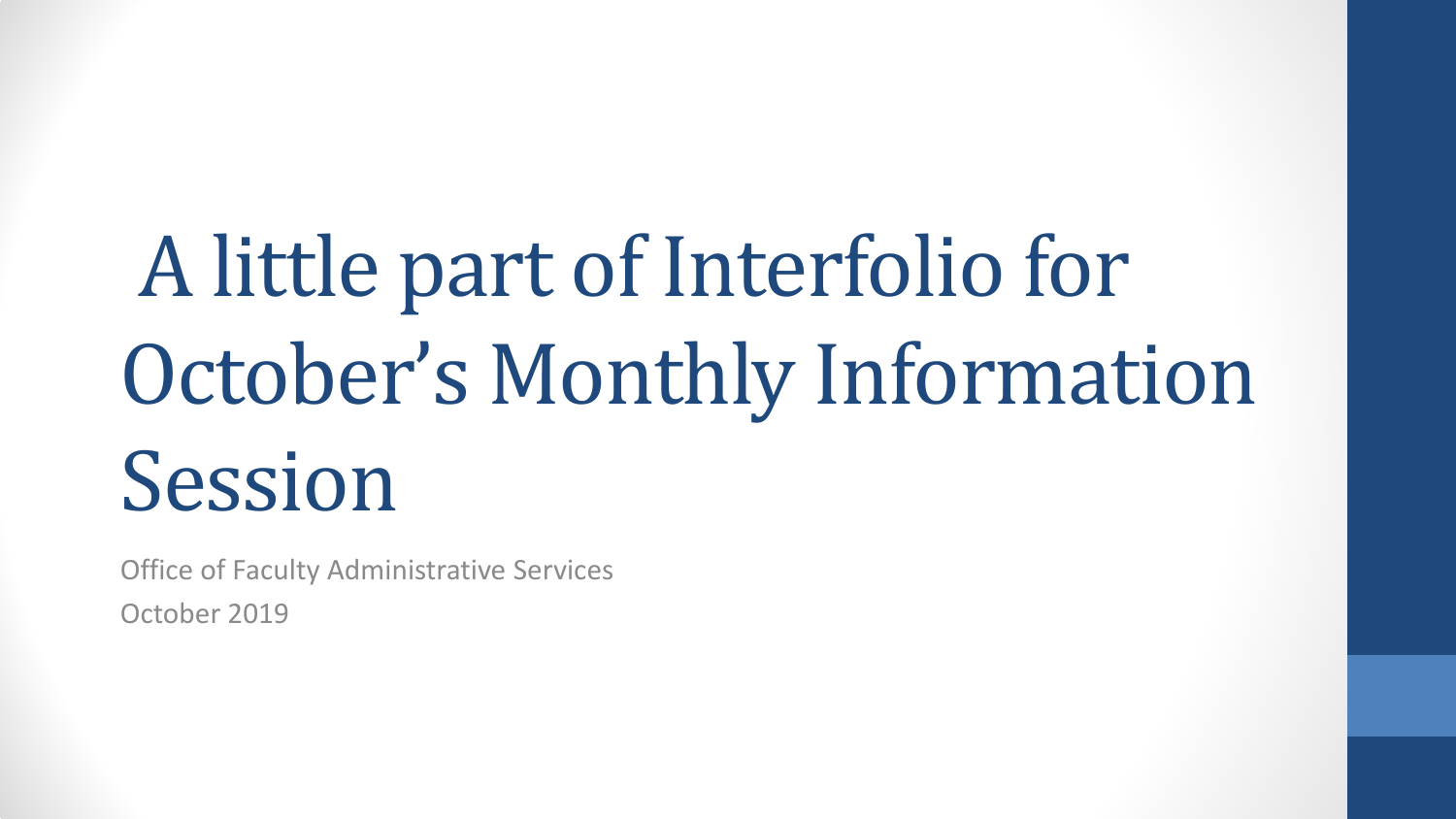# A little part of Interfolio for October's Monthly Information Session

Office of Faculty Administrative Services October 2019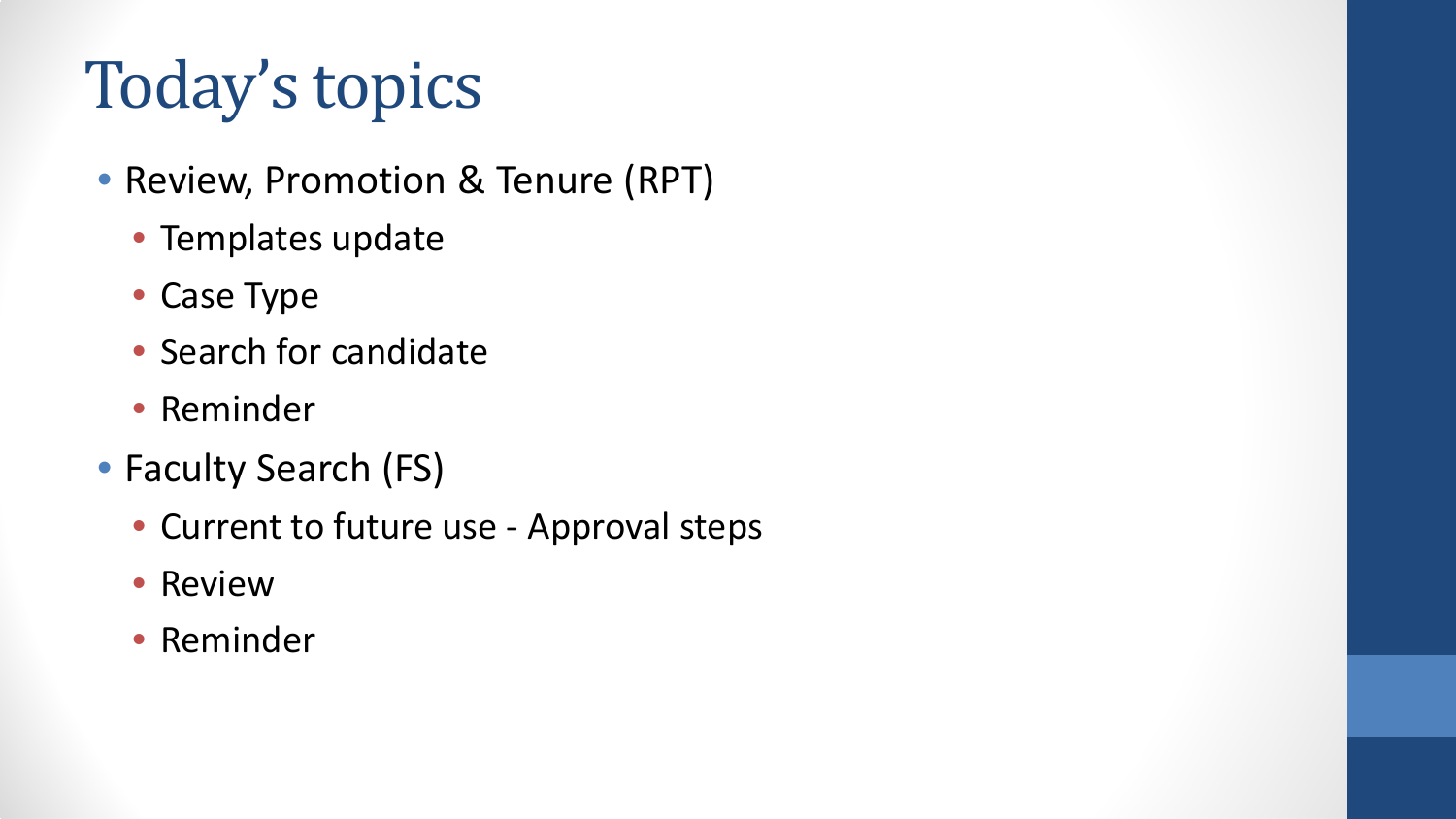# Today's topics

- Review, Promotion & Tenure (RPT)
	- Templates update
	- Case Type
	- Search for candidate
	- Reminder
- Faculty Search (FS)
	- Current to future use Approval steps
	- Review
	- Reminder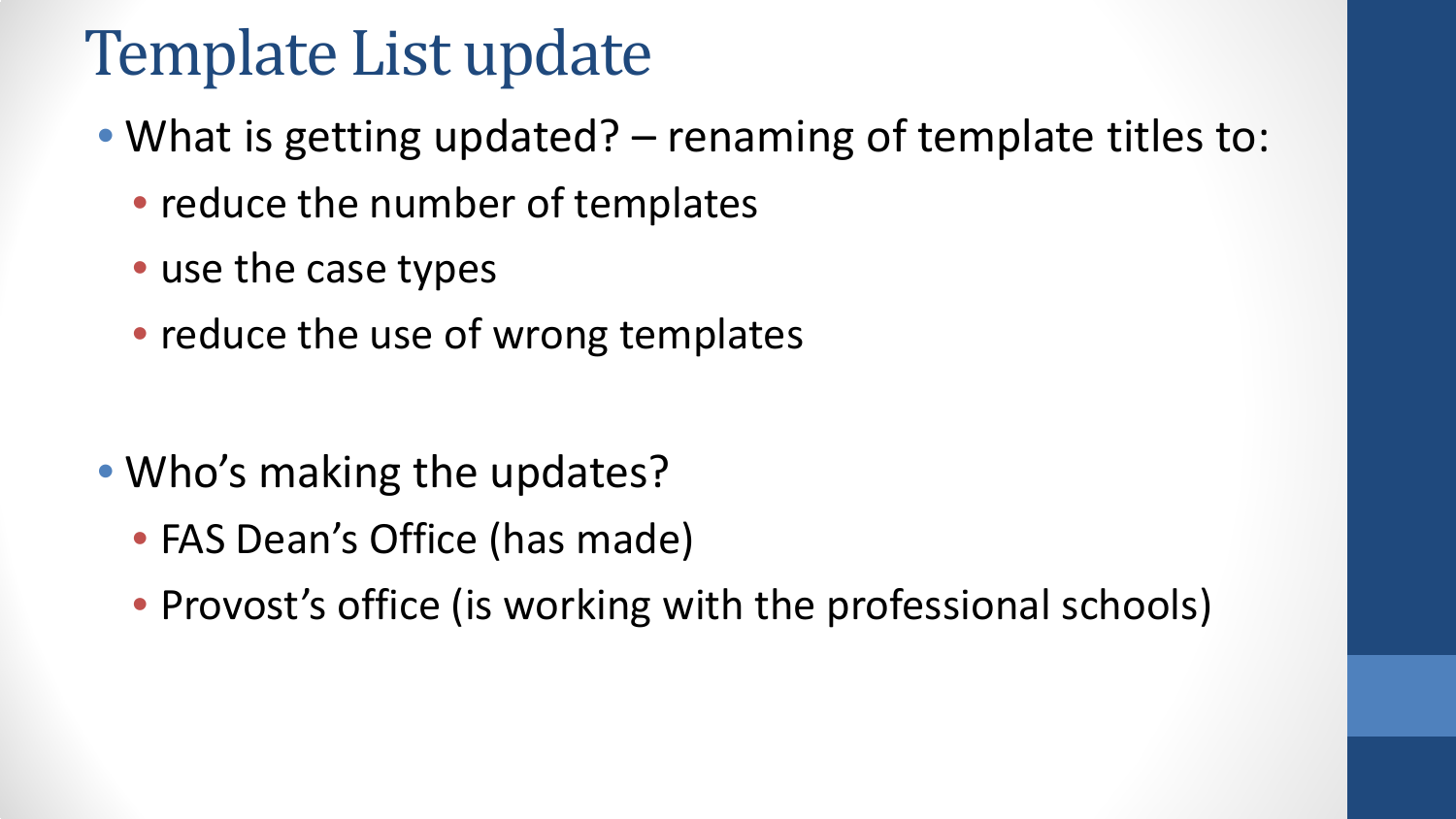## Template List update

- What is getting updated? renaming of template titles to:
	- reduce the number of templates
	- use the case types
	- reduce the use of wrong templates

- Who's making the updates?
	- FAS Dean's Office (has made)
	- Provost's office (is working with the professional schools)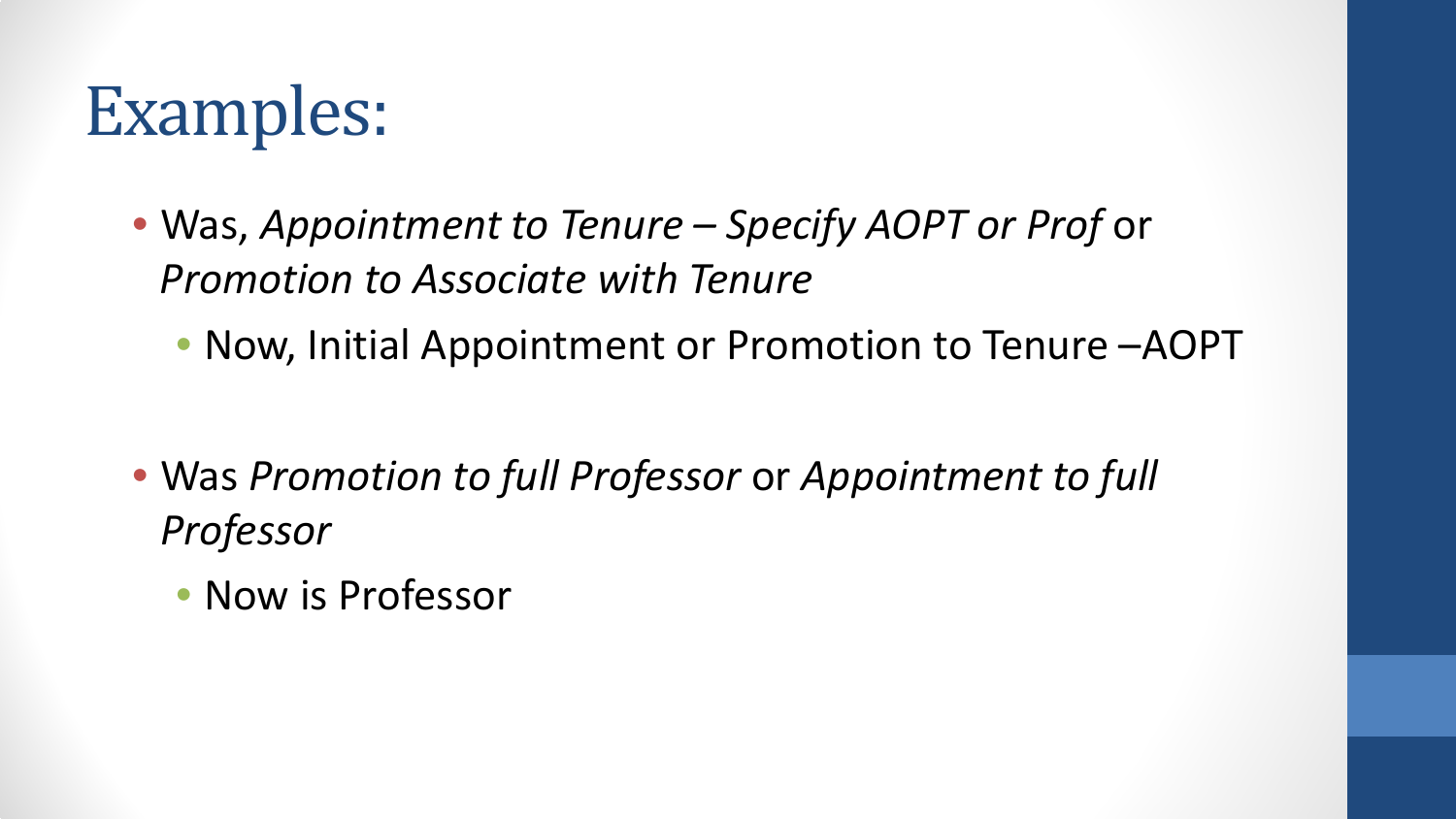## Examples:

- Was, *Appointment to Tenure – Specify AOPT or Prof* or *Promotion to Associate with Tenure*
	- Now, Initial Appointment or Promotion to Tenure –AOPT
- Was *Promotion to full Professor* or *Appointment to full Professor*
	- Now is Professor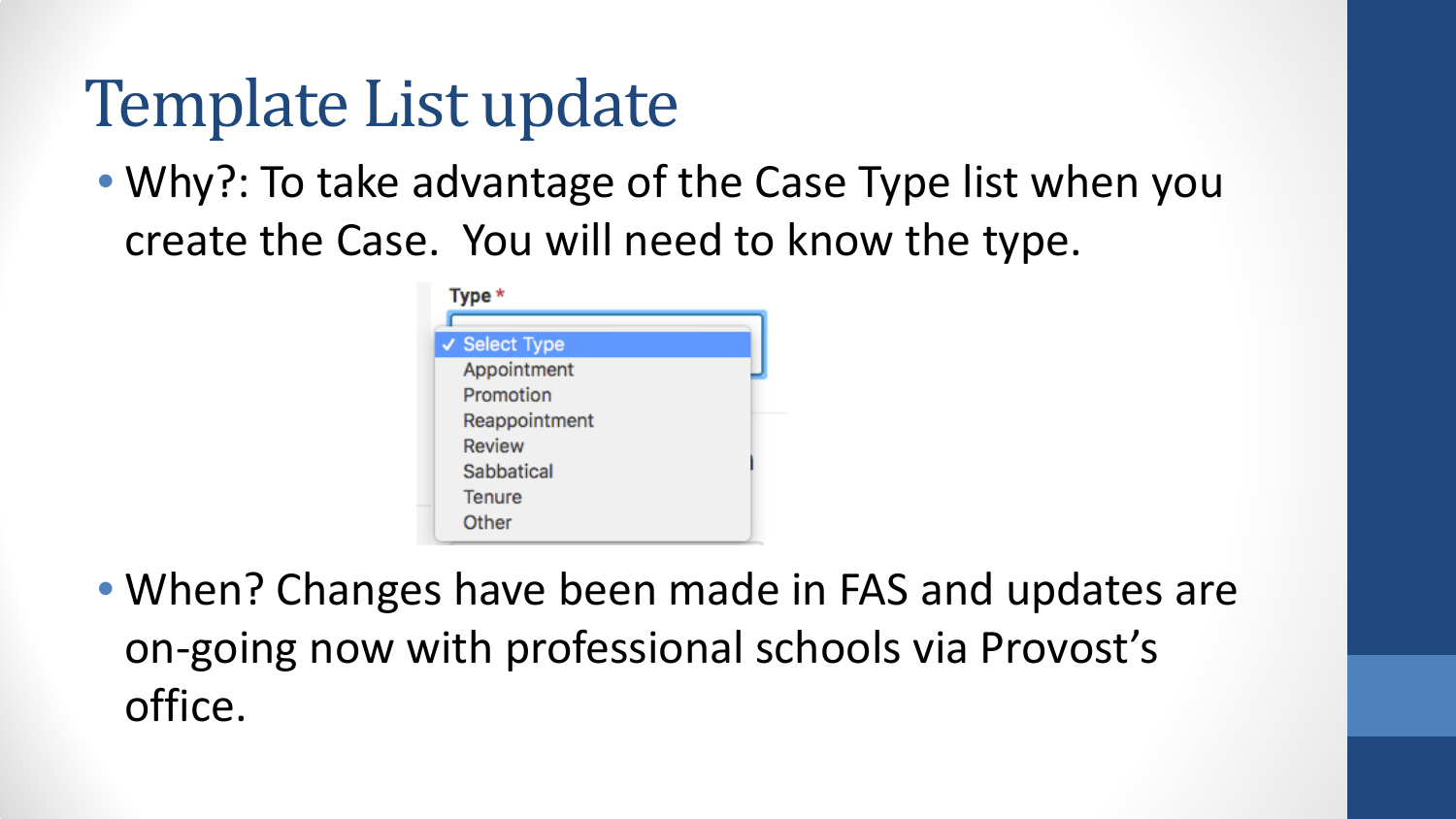## Template List update

• Why?: To take advantage of the Case Type list when you create the Case. You will need to know the type.



• When? Changes have been made in FAS and updates are on-going now with professional schools via Provost's office.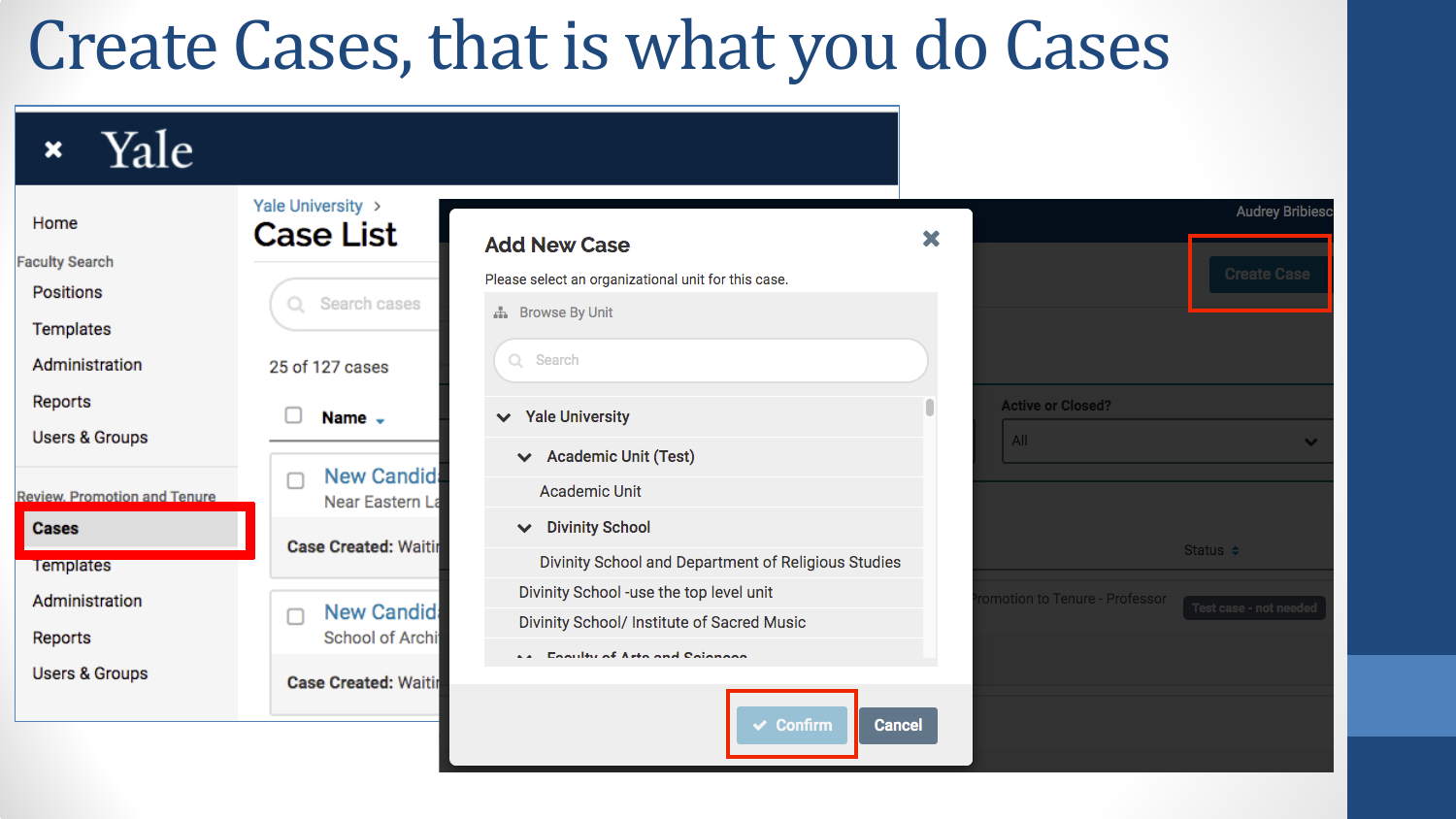## Create Cases, that is what you do Cases

#### Yale  $\pmb{\times}$

| Home                                | Yale University ><br><b>Case List</b>             | <b>Add New Case</b>                                 | × |                               | <b>Audrey Bribiesc</b>   |
|-------------------------------------|---------------------------------------------------|-----------------------------------------------------|---|-------------------------------|--------------------------|
| <b>Faculty Search</b>               |                                                   |                                                     |   |                               | <b>Create Case</b>       |
| <b>Positions</b>                    | Search cases                                      | Please select an organizational unit for this case. |   |                               |                          |
| Templates                           |                                                   | h Browse By Unit                                    |   |                               |                          |
| Administration                      | 25 of 127 cases                                   | Q Search                                            |   |                               |                          |
| Reports                             | Name $\sim$                                       | <b>Yale University</b><br>$\checkmark$              |   | <b>Active or Closed?</b>      |                          |
| <b>Users &amp; Groups</b>           |                                                   |                                                     |   | All                           |                          |
|                                     | <b>New Candida</b>                                | ← Academic Unit (Test)                              |   |                               |                          |
| <b>Review, Promotion and Tenure</b> | Near Eastern La                                   | <b>Academic Unit</b>                                |   |                               |                          |
| <b>Cases</b>                        | <b>Case Created: Waitir</b>                       | <b>Divinity School</b><br>$\checkmark$              |   |                               |                          |
| Templates                           |                                                   | Divinity School and Department of Religious Studies |   |                               | Status $\Leftrightarrow$ |
| Administration                      |                                                   | Divinity School -use the top level unit             |   | omotion to Tenure - Professor | Test case - not needed   |
| Reports                             | <b>New Candida</b><br>г<br><b>School of Archi</b> | Divinity School/ Institute of Sacred Music          |   |                               |                          |
|                                     |                                                   | <b>A.A. Engulful of Arts and Colonage</b>           |   |                               |                          |
| <b>Users &amp; Groups</b>           | <b>Case Created: Waitir</b>                       |                                                     |   |                               |                          |
|                                     |                                                   | $\vee$ Confirm<br>Cancel                            |   |                               |                          |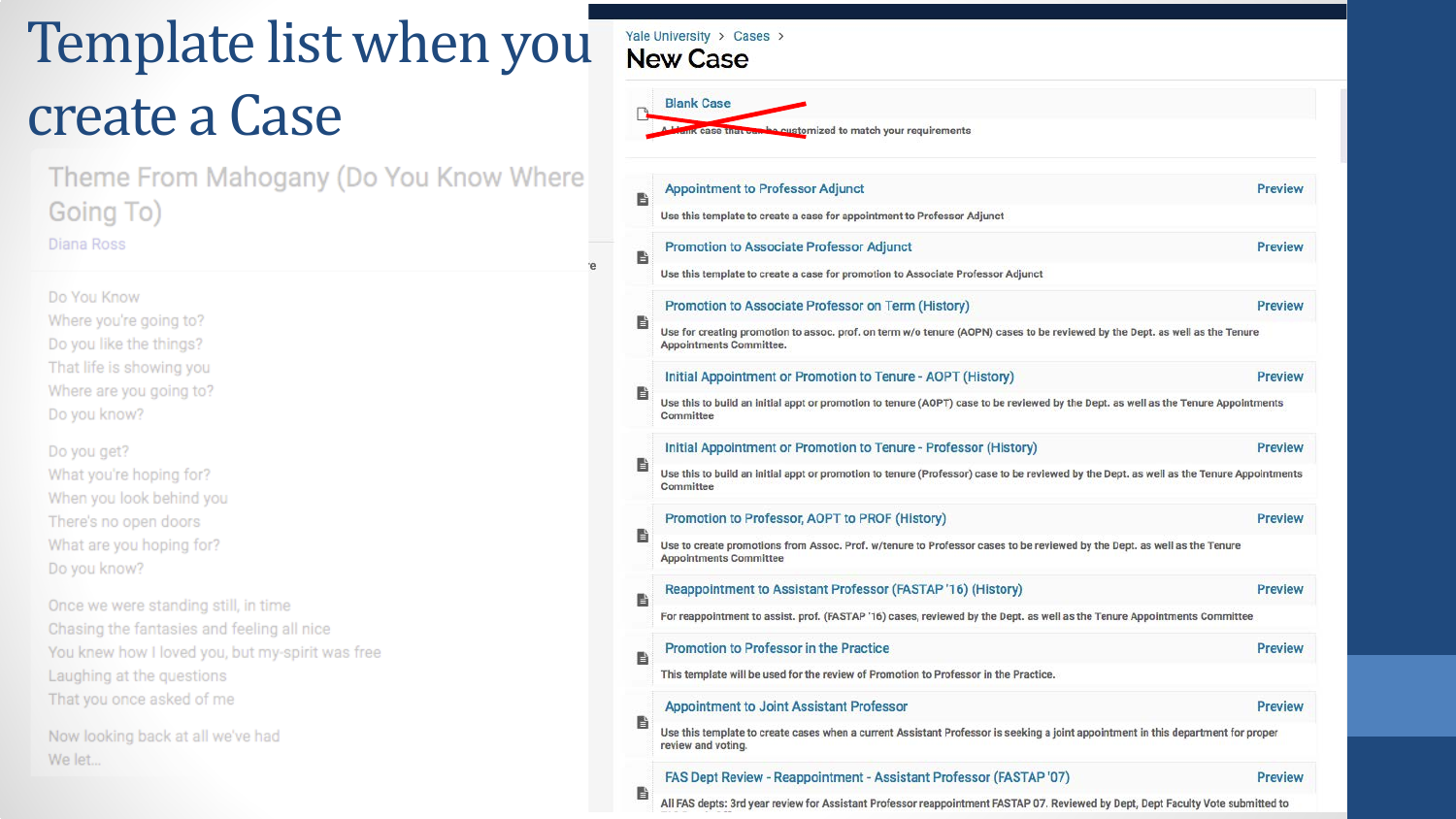## Template list when you create a Case

Theme From Mahogany (Do You Know Where Going To) Diana Ross

Do You Know Where you're going to? Do you like the things? That life is showing you Where are you going to? Do you know?

Do you get? What you're hoping for? When you look behind you There's no open doors What are you hoping for? Do you know?

Once we were standing still, in time Chasing the fantasies and feeling all nice You knew how I loved you, but my-spirit was free Laughing at the questions That you once asked of me

Now looking back at all we've had We let...

|   | <b>Blank Case</b>                                                                                                                                         |                |  |  |  |
|---|-----------------------------------------------------------------------------------------------------------------------------------------------------------|----------------|--|--|--|
|   | be customized to match your requirements<br><b>IK Case that we</b>                                                                                        |                |  |  |  |
| B | <b>Appointment to Professor Adjunct</b>                                                                                                                   | <b>Preview</b> |  |  |  |
|   | Use this template to create a case for appointment to Professor Adjunct                                                                                   |                |  |  |  |
| B | <b>Promotion to Associate Professor Adjunct</b>                                                                                                           | <b>Preview</b> |  |  |  |
|   | Use this template to create a case for promotion to Associate Professor Adjunct                                                                           |                |  |  |  |
|   | Promotion to Associate Professor on Term (History)                                                                                                        | Preview        |  |  |  |
| B | Use for creating promotion to assoc. prof. on term w/o tenure (AOPN) cases to be reviewed by the Dept. as well as the Tenure<br>Appointments Committee.   |                |  |  |  |
|   | Initial Appointment or Promotion to Tenure - AOPT (History)                                                                                               | <b>Preview</b> |  |  |  |
| B | Use this to build an initial appt or promotion to tenure (AOPT) case to be reviewed by the Dept. as well as the Tenure Appointments<br>Committee          |                |  |  |  |
|   | Initial Appointment or Promotion to Tenure - Professor (History)                                                                                          | <b>Preview</b> |  |  |  |
| B | Use this to build an initial appt or promotion to tenure (Professor) case to be reviewed by the Dept. as well as the Tenure Appointments<br>Committee     |                |  |  |  |
|   | Promotion to Professor, AOPT to PROF (History)                                                                                                            | <b>Preview</b> |  |  |  |
| 睯 | Use to create promotions from Assoc. Prof. w/tenure to Professor cases to be reviewed by the Dept. as well as the Tenure<br><b>Appointments Committee</b> |                |  |  |  |
| B | Reappointment to Assistant Professor (FASTAP '16) (History)                                                                                               | <b>Preview</b> |  |  |  |
|   | For reappointment to assist. prof. (FASTAP '16) cases, reviewed by the Dept. as well as the Tenure Appointments Committee                                 |                |  |  |  |
| B | Promotion to Professor in the Practice                                                                                                                    | <b>Preview</b> |  |  |  |
|   | This template will be used for the review of Promotion to Professor in the Practice.                                                                      |                |  |  |  |
|   | <b>Appointment to Joint Assistant Professor</b>                                                                                                           | <b>Preview</b> |  |  |  |
| B | Use this template to create cases when a current Assistant Professor is seeking a joint appointment in this department for proper<br>review and voting.   |                |  |  |  |
|   | FAS Dept Review - Reappointment - Assistant Professor (FASTAP '07)                                                                                        | <b>Preview</b> |  |  |  |
| B | All FAS depts: 3rd year review for Assistant Professor reappointment FASTAP 07. Reviewed by Dept, Dept Faculty Vote submitted to                          |                |  |  |  |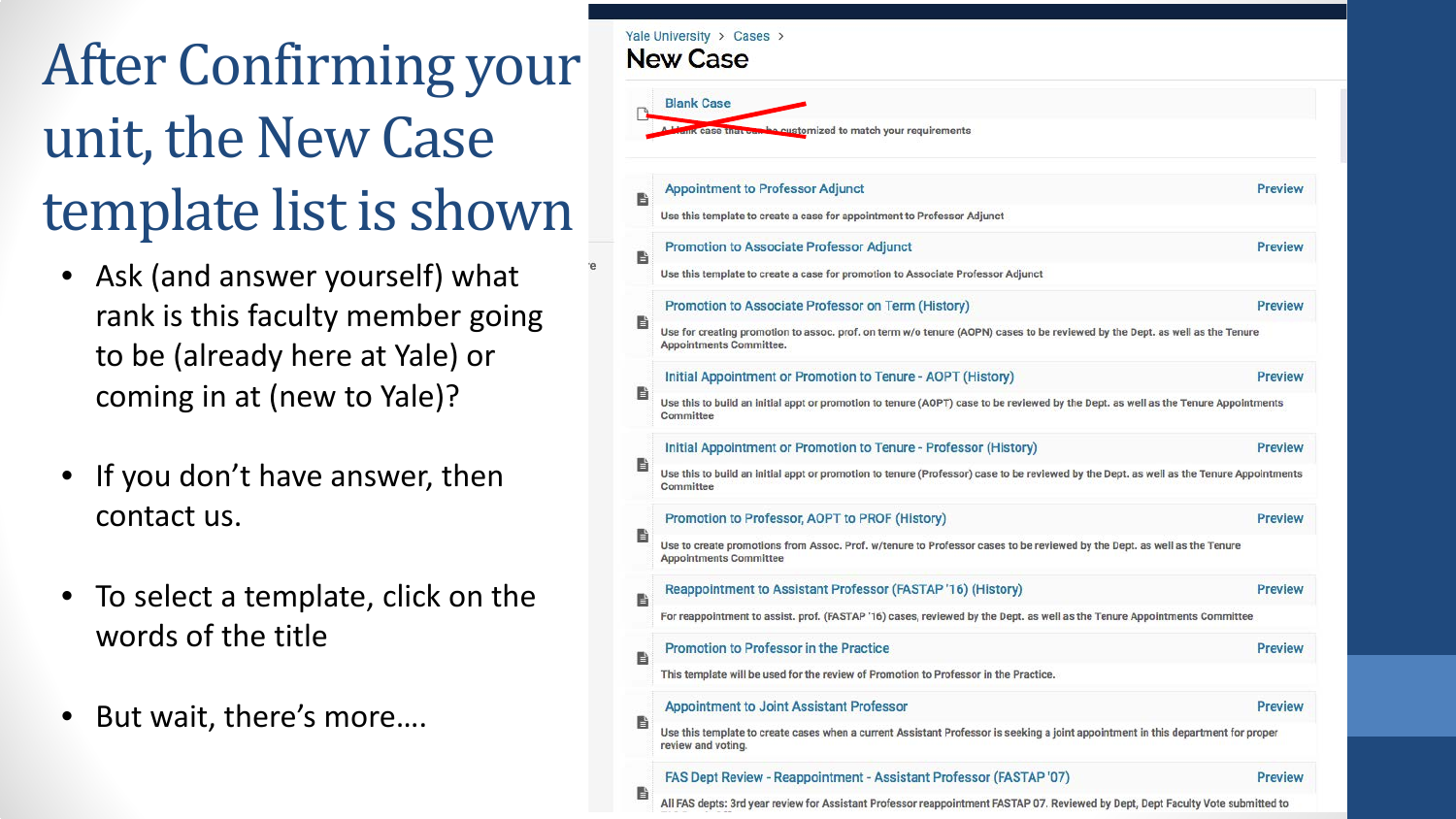## After Confirming your unit, the New Case template list is shown

- Ask (and answer yourself) what rank is this faculty member going to be (already here at Yale) or coming in at (new to Yale)?
- If you don't have answer, then contact us.
- To select a template, click on the words of the title
- But wait, there's more….

|   | <b>Blank Case</b>                                                                                                                                         |                |
|---|-----------------------------------------------------------------------------------------------------------------------------------------------------------|----------------|
|   | be customized to match your requirements<br><b>IK Case that the</b>                                                                                       |                |
| B | <b>Appointment to Professor Adjunct</b>                                                                                                                   | <b>Preview</b> |
|   | Use this template to create a case for appointment to Professor Adjunct                                                                                   |                |
| B | <b>Promotion to Associate Professor Adjunct</b>                                                                                                           | <b>Preview</b> |
|   | Use this template to create a case for promotion to Associate Professor Adjunct                                                                           |                |
|   | Promotion to Associate Professor on Term (History)                                                                                                        | Preview        |
| B | Use for creating promotion to assoc, prof, on term w/o tenure (AOPN) cases to be reviewed by the Dept, as well as the Tenure<br>Appointments Committee.   |                |
|   | Initial Appointment or Promotion to Tenure - AOPT (History)                                                                                               | <b>Preview</b> |
| 昏 | Use this to build an initial appt or promotion to tenure (AOPT) case to be reviewed by the Dept. as well as the Tenure Appointments<br>Committee          |                |
|   | Initial Appointment or Promotion to Tenure - Professor (History)                                                                                          | Preview        |
| B | Use this to build an initial appt or promotion to tenure (Professor) case to be reviewed by the Dept. as well as the Tenure Appointments<br>Committee     |                |
|   | Promotion to Professor, AOPT to PROF (History)                                                                                                            | <b>Preview</b> |
| 昏 | Use to create promotions from Assoc. Prof. w/tenure to Professor cases to be reviewed by the Dept. as well as the Tenure<br><b>Appointments Committee</b> |                |
| 昏 | Reappointment to Assistant Professor (FASTAP '16) (History)                                                                                               | Preview        |
|   | For reappointment to assist. prof. (FASTAP '16) cases, reviewed by the Dept. as well as the Tenure Appointments Committee                                 |                |
| B | Promotion to Professor in the Practice                                                                                                                    | Preview        |
|   | This template will be used for the review of Promotion to Professor in the Practice.                                                                      |                |
|   | <b>Appointment to Joint Assistant Professor</b>                                                                                                           | <b>Preview</b> |
| B | Use this template to create cases when a current Assistant Professor is seeking a joint appointment in this department for proper<br>review and voting.   |                |
|   | FAS Dept Review - Reappointment - Assistant Professor (FASTAP '07)                                                                                        | <b>Preview</b> |
| b |                                                                                                                                                           |                |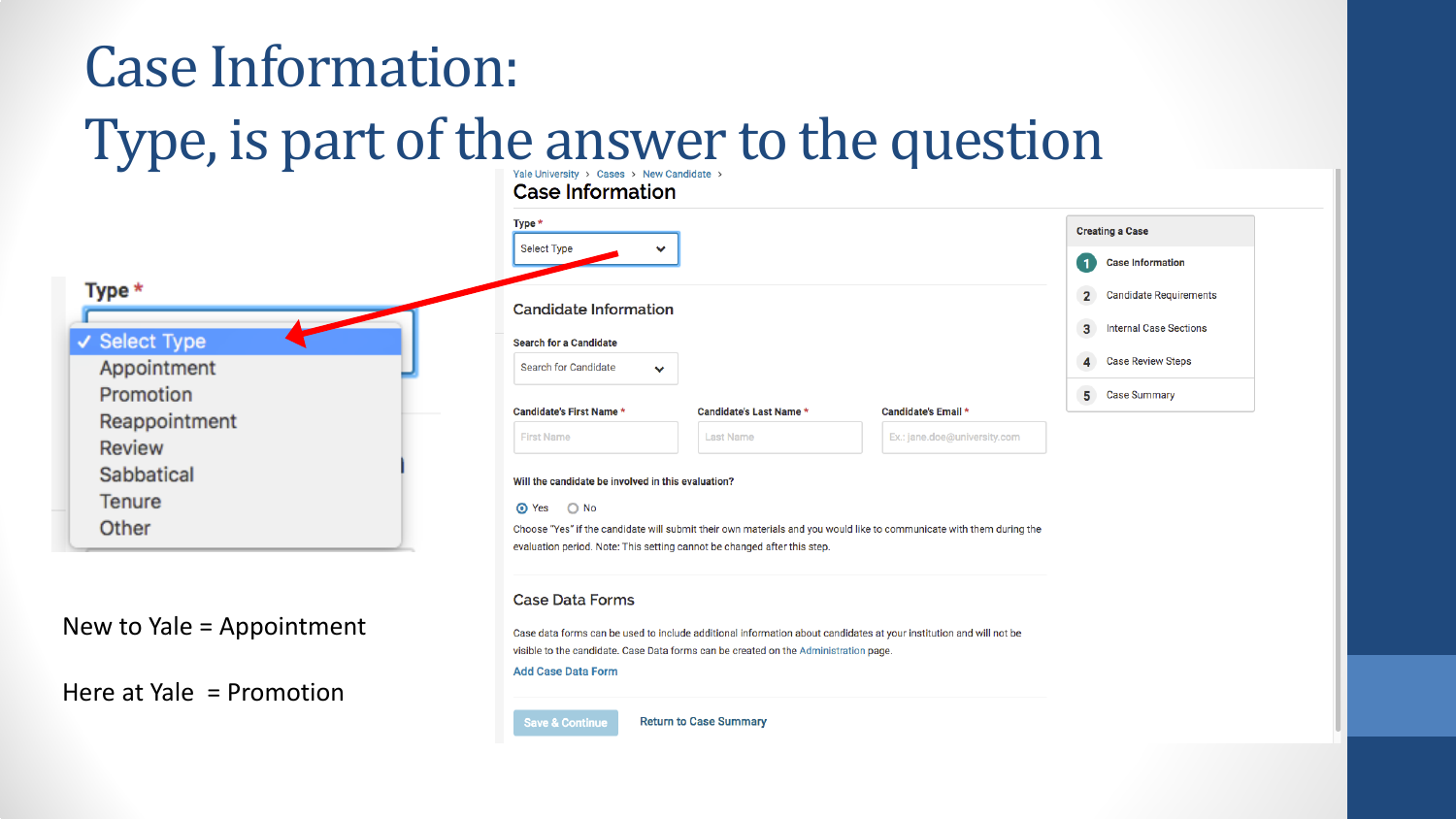## Case Information:

New to Yale = Appointment

 $\checkmark$  Se Ap Pro Rea **Rev** Sal Ter Otl

Here at Yale = Promotion

# Type, is part of the answer to the question

|                                                     | Type *<br><b>Select Type</b><br>$\checkmark$                                                                                                                                                                                                                                            | <b>Creating a Case</b><br><b>Case Information</b><br>O                                             |
|-----------------------------------------------------|-----------------------------------------------------------------------------------------------------------------------------------------------------------------------------------------------------------------------------------------------------------------------------------------|----------------------------------------------------------------------------------------------------|
| Type *<br><b>Select Type</b>                        | <b>Candidate Information</b><br><b>Search for a Candidate</b>                                                                                                                                                                                                                           | $\overline{2}$<br><b>Candidate Requirements</b><br>$\overline{3}$<br><b>Internal Case Sections</b> |
| Appointment<br>Promotion<br>Reappointment<br>Review | <b>Search for Candidate</b><br>$\checkmark$<br><b>Candidate's First Name *</b><br>Candidate's Last Name *<br>Candidate's Email *<br>Ex.: jane.doe@university.com<br><b>First Name</b><br>Last Name                                                                                      | $\overline{4}$<br><b>Case Review Steps</b><br>5 <sup>1</sup><br><b>Case Summary</b>                |
| Sabbatical<br><b>Tenure</b><br>Other                | Will the candidate be involved in this evaluation?<br>$\bigcirc$ No<br><b>O</b> Yes<br>Choose "Yes" if the candidate will submit their own materials and you would like to communicate with them during the<br>evaluation period. Note: This setting cannot be changed after this step. |                                                                                                    |
|                                                     | <b>Case Data Forms</b>                                                                                                                                                                                                                                                                  |                                                                                                    |

Case data forms can be used to include additional information about candidates at your institution and will not be visible to the candidate. Case Data forms can be created on the Administration page. **Add Case Data Form** 

**Save & Continue** 

**Return to Case Summary**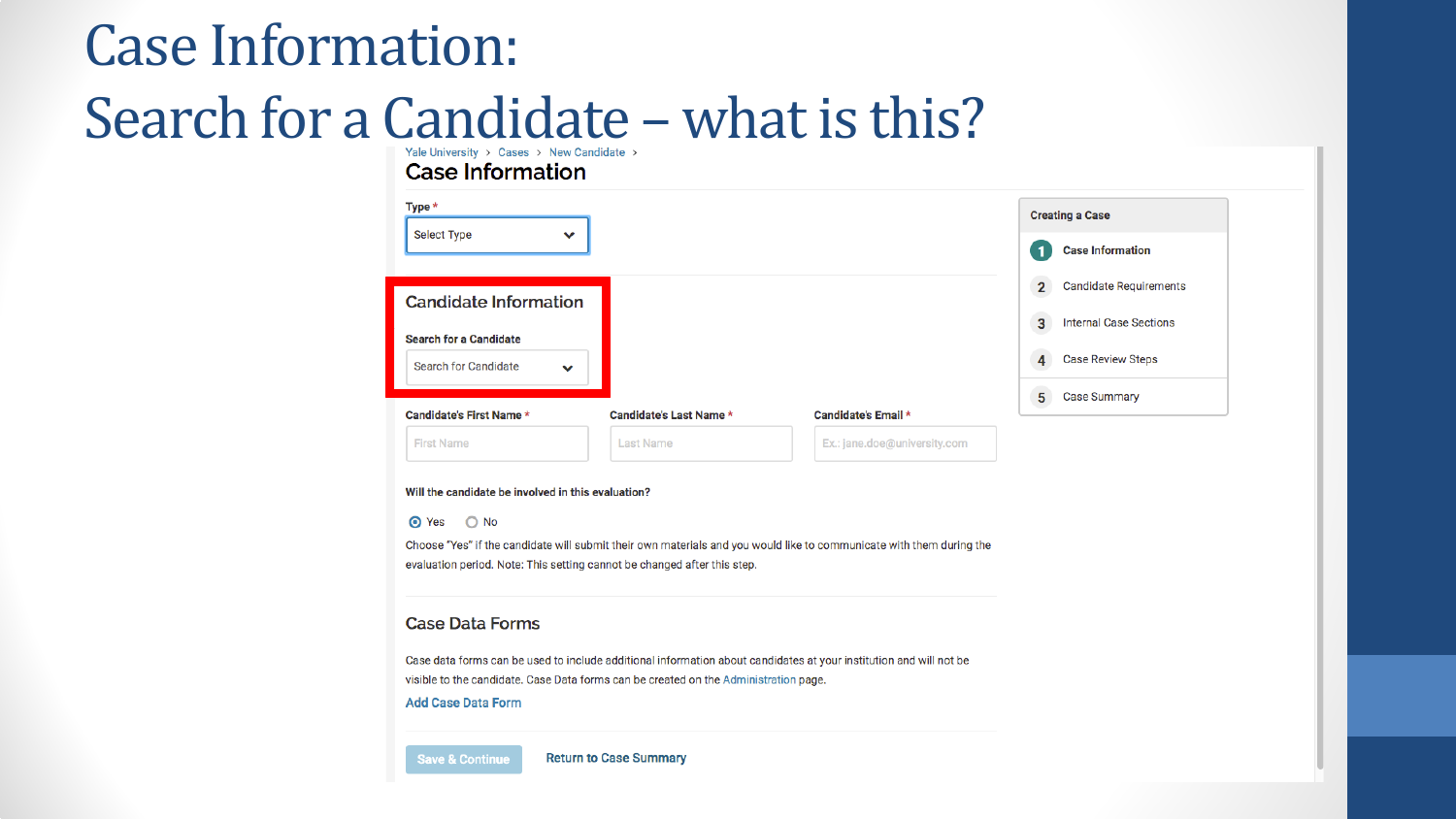## **Case Information:** Search for a Candidate - what is this? Yale University > Cases > New Candidate >

#### **Case Information**

| Type *                                                                       |                         |                              |                | <b>Creating a Case</b>        |
|------------------------------------------------------------------------------|-------------------------|------------------------------|----------------|-------------------------------|
| <b>Select Type</b><br>$\checkmark$                                           |                         |                              | 1              | <b>Case Information</b>       |
| <b>Candidate Information</b>                                                 |                         |                              | $\overline{2}$ | <b>Candidate Requirements</b> |
|                                                                              |                         |                              | 3              | <b>Internal Case Sections</b> |
| <b>Search for a Candidate</b><br><b>Search for Candidate</b><br>$\checkmark$ |                         |                              | 4              | <b>Case Review Steps</b>      |
|                                                                              |                         |                              | 5 <sup>1</sup> | <b>Case Summary</b>           |
| <b>Candidate's First Name *</b>                                              | Candidate's Last Name * | Candidate's Email *          |                |                               |
| <b>First Name</b>                                                            | Last Name               | Ex.: jane.doe@university.com |                |                               |

#### Will the candidate be involved in this evaluation?

#### ⊙ Yes ○ No

Choose "Yes" if the candidate will submit their own materials and you would like to communicate with them during the evaluation period. Note: This setting cannot be changed after this step.

#### **Case Data Forms**

Case data forms can be used to include additional information about candidates at your institution and will not be visible to the candidate. Case Data forms can be created on the Administration page.

#### **Add Case Data Form**

**Save & Continue** 

**Return to Case Summary**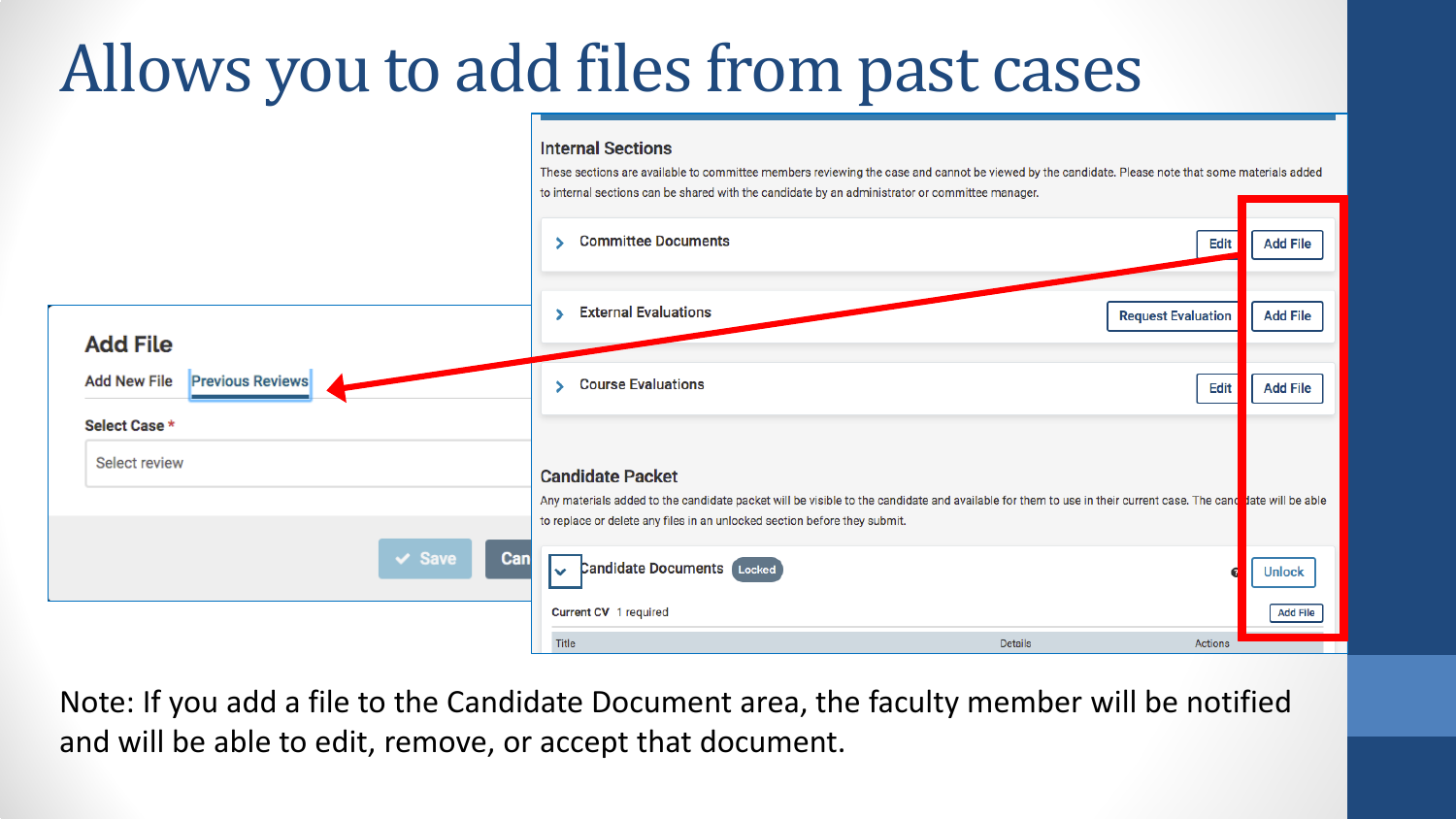## Allows you to add files from past cases



Note: If you add a file to the Candidate Document area, the faculty member will be notified and will be able to edit, remove, or accept that document.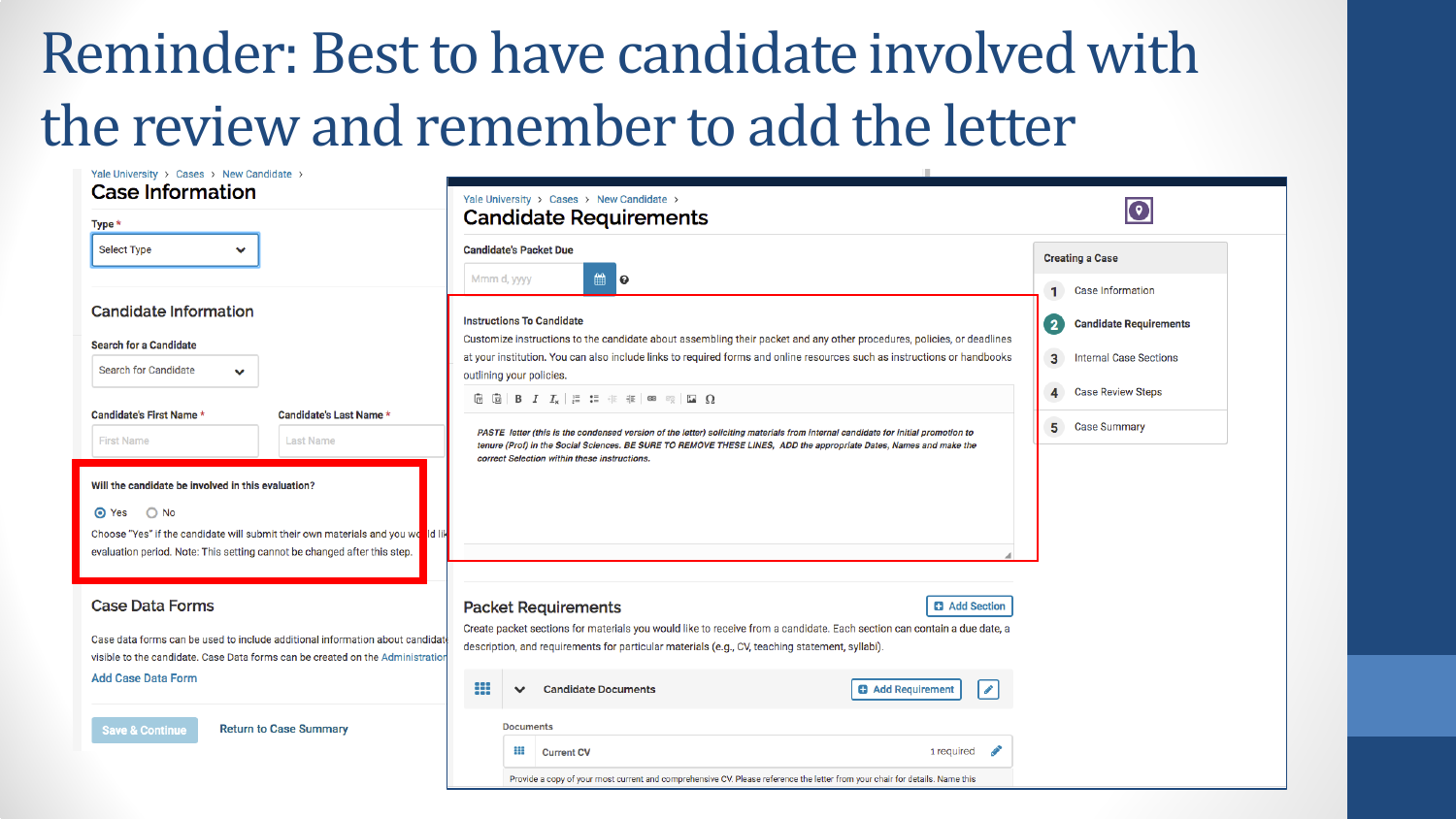## Reminder: Best to have candidate involved with the review and remember to add the letter

| <b>Case Information</b><br>Type *                                                                                                                                                                                                                                                                                                                  | Yale University > Cases > New Candidate ><br><b>Candidate Requirements</b>                                                                                                                                                                                                                                                                                                       | $\bullet$                                                                                                                                      |
|----------------------------------------------------------------------------------------------------------------------------------------------------------------------------------------------------------------------------------------------------------------------------------------------------------------------------------------------------|----------------------------------------------------------------------------------------------------------------------------------------------------------------------------------------------------------------------------------------------------------------------------------------------------------------------------------------------------------------------------------|------------------------------------------------------------------------------------------------------------------------------------------------|
| <b>Select Type</b><br>$\checkmark$                                                                                                                                                                                                                                                                                                                 | <b>Candidate's Packet Due</b><br>6 0<br>Mmm d, yyyy                                                                                                                                                                                                                                                                                                                              | <b>Creating a Case</b><br><b>Case Information</b><br>$\blacksquare$                                                                            |
| <b>Candidate Information</b><br><b>Search for a Candidate</b><br><b>Search for Candidate</b><br>╰                                                                                                                                                                                                                                                  | <b>Instructions To Candidate</b><br>Customize instructions to the candidate about assembling their packet and any other procedures, policies, or deadlines<br>at your institution. You can also include links to required forms and online resources such as instructions or handbooks<br>outlining your policies.                                                               | $\mathbf{Q}$<br><b>Candidate Requirements</b><br><b>Internal Case Sections</b><br>3 <sup>1</sup><br><b>Case Review Steps</b><br>$\overline{4}$ |
| <b>Candidate's First Name *</b><br>Candidate's Last Name *<br><b>First Name</b><br>Last Name<br>Will the candidate be involved in this evaluation?<br>$\bigcirc$ No<br><b>O</b> Yes<br>Choose "Yes" if the candidate will submit their own materials and you would lik<br>evaluation period. Note: This setting cannot be changed after this step. | PASTE letter (this is the condensed version of the letter) soliciting materials from internal candidate for initial promotion to<br>tenure (Prof) in the Social Sciences. BE SURE TO REMOVE THESE LINES, ADD the appropriate Dates, Names and make the<br>correct Selection within these instructions.                                                                           | <b>Case Summary</b><br>5 <sup>1</sup>                                                                                                          |
| <b>Case Data Forms</b><br>Case data forms can be used to include additional information about candidate<br>visible to the candidate. Case Data forms can be created on the Administration<br><b>Add Case Data Form</b>                                                                                                                             | <b>D</b> Add Section<br><b>Packet Requirements</b><br>Create packet sections for materials you would like to receive from a candidate. Each section can contain a due date, a<br>description, and requirements for particular materials (e.g., CV, teaching statement, syllabi).<br>m<br>$\mathcal{L}$<br><b>Candidate Documents</b><br><b>C</b> Add Requirement<br>$\checkmark$ |                                                                                                                                                |
| <b>Return to Case Summary</b><br><b>Save &amp; Continue</b>                                                                                                                                                                                                                                                                                        | <b>Documents</b><br>₩<br>1 required $\bullet$<br><b>Current CV</b><br>Provide a copy of your most current and comprehensive CV. Please reference the letter from your chair for details. Name this                                                                                                                                                                               |                                                                                                                                                |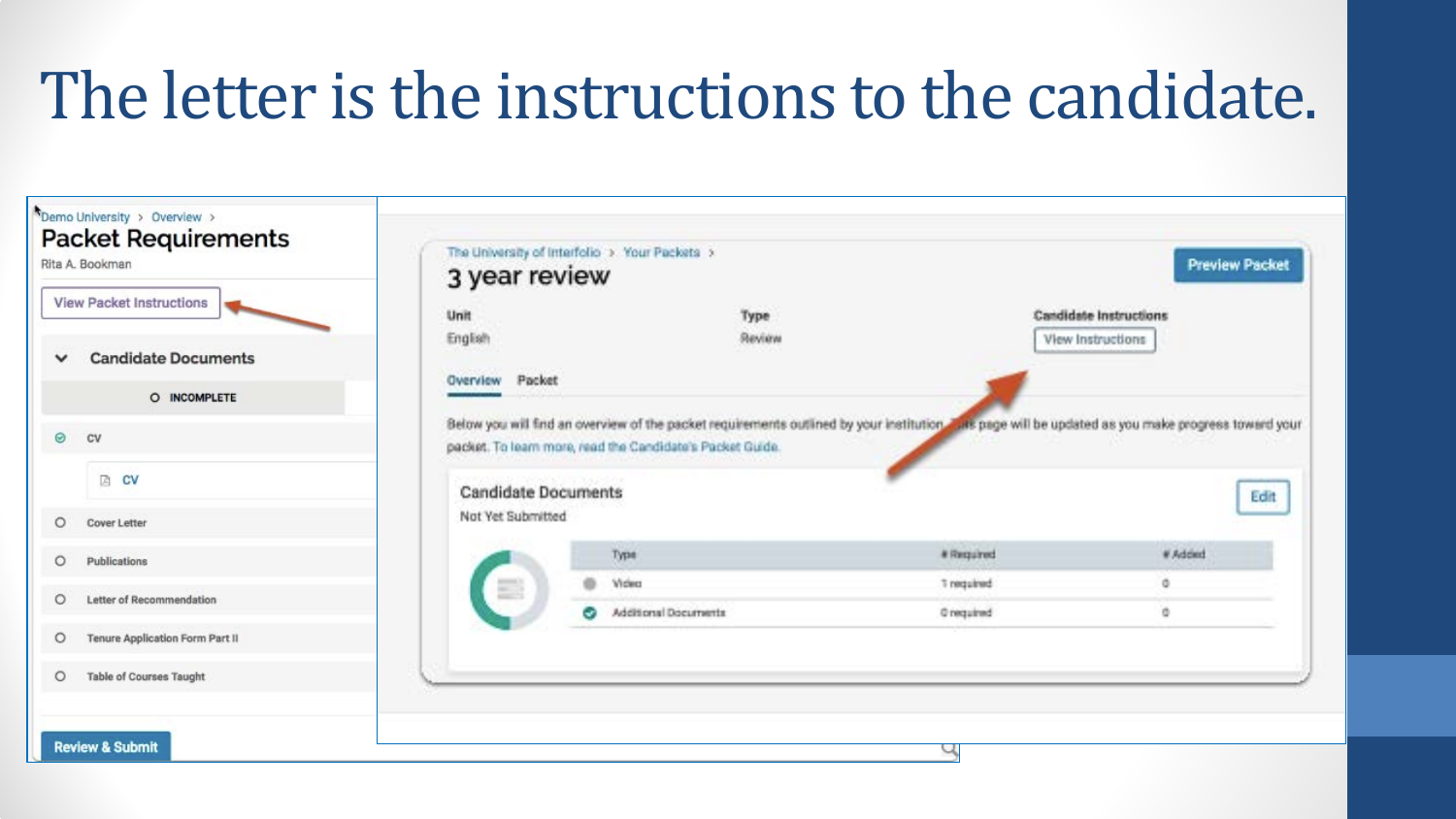## The letter is the instructions to the candidate.

| <b>Packet Requirements</b><br>Rita A. Bookman | The University of Interfolio > Your Packets ><br>3 year review                                               |                                                                                          |                                                            | <b>Preview Packet</b> |
|-----------------------------------------------|--------------------------------------------------------------------------------------------------------------|------------------------------------------------------------------------------------------|------------------------------------------------------------|-----------------------|
| <b>View Packet Instructions</b>               | Unit                                                                                                         | <b>Type</b>                                                                              | <b>Candidate Instructions</b>                              |                       |
| <b>Candidate Documents</b>                    | English                                                                                                      | Review                                                                                   | View Instructions                                          |                       |
| O INCOMPLETE                                  | Overview Packet                                                                                              |                                                                                          |                                                            |                       |
| $\odot$<br>CV<br><b>四 CV</b>                  | packet. To learn more, read the Candidate's Packet Guide.<br><b>Candidate Documents</b><br>Not Yet Submitted | Below you will find an overview of the packet requirements outlined by your institution. | Lifs page will be updated as you make progress toward your | Edit                  |
| Cover Letter                                  |                                                                                                              |                                                                                          |                                                            |                       |
|                                               | Тура                                                                                                         |                                                                                          | # Required                                                 | # Added               |
| Publications                                  |                                                                                                              |                                                                                          | 1 negulned                                                 | ۰                     |
| Letter of Recommendation                      | E)<br>Video                                                                                                  |                                                                                          |                                                            |                       |
| Tenure Application Form Part II               | w,                                                                                                           | Additional Documents                                                                     | 0 required                                                 | e.                    |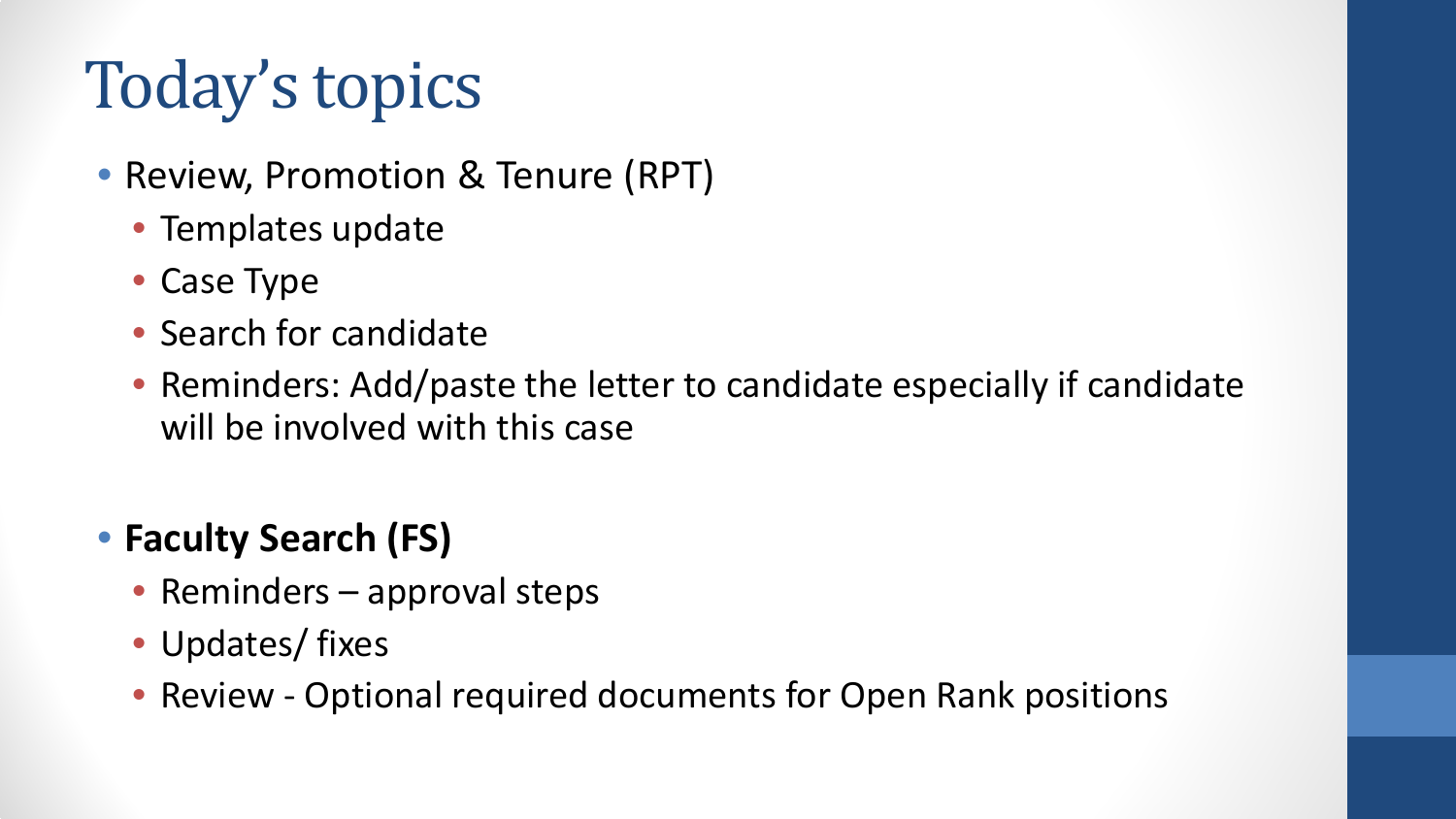# Today's topics

- Review, Promotion & Tenure (RPT)
	- Templates update
	- Case Type
	- Search for candidate
	- Reminders: Add/paste the letter to candidate especially if candidate will be involved with this case

## • **Faculty Search (FS)**

- Reminders approval steps
- Updates/ fixes
- Review Optional required documents for Open Rank positions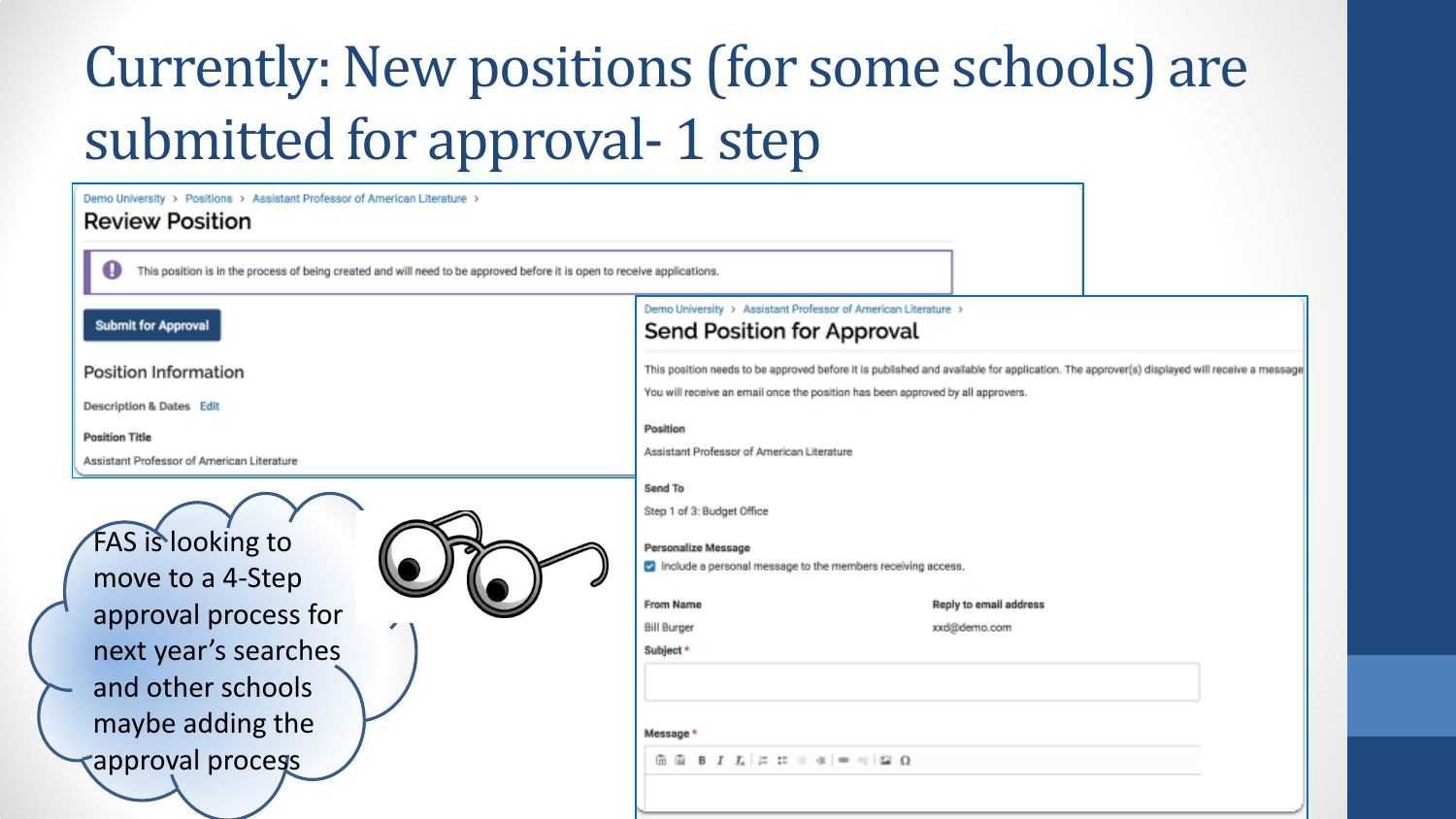## Currently: New positions (for some schools) are submitted for approval- 1 step

#### Demo University > Positions > Assistant Professor of American Literature >

#### **Review Position**

This position is in the process of being created and will need to be approved before it is open to receive applications.

#### **Submit for Approval**

#### Position Information

Description & Dates Edit

**Position Title** 

Assistant Professor of American Literature





#### Demo University > Assistant Professor of American Literature >

#### **Send Position for Approval**

This position needs to be approved before it is published and available for application. The approver(s) displayed will receive a message You will receive an email once the position has been approved by all approvers.

#### Position

Assistant Professor of American Literature

#### Send To

Step 1 of 3: Budget Office

#### **Personalize Message**

Include a personal message to the members receiving access.

#### From Name **Bill Burger**

**Reply to email address** 

xxd@demo.com

#### Subject\*

Message<sup>\*</sup>

 $\mathbb{R} \otimes \mathbf{B} \otimes \mathbf{I} \otimes \mathbf{I} \otimes \mathbf{I} \otimes \mathbf{I} \otimes \mathbf{I} \otimes \mathbf{I} \otimes \mathbf{I} \otimes \mathbf{I} \otimes \mathbf{I} \otimes \mathbf{I} \otimes \mathbf{I} \otimes \mathbf{I} \otimes \mathbf{I} \otimes \mathbf{I} \otimes \mathbf{I} \otimes \mathbf{I} \otimes \mathbf{I} \otimes \mathbf{I} \otimes \mathbf{I} \otimes \mathbf{I} \otimes \mathbf{I} \otimes \mathbf{I} \otimes \mathbf{$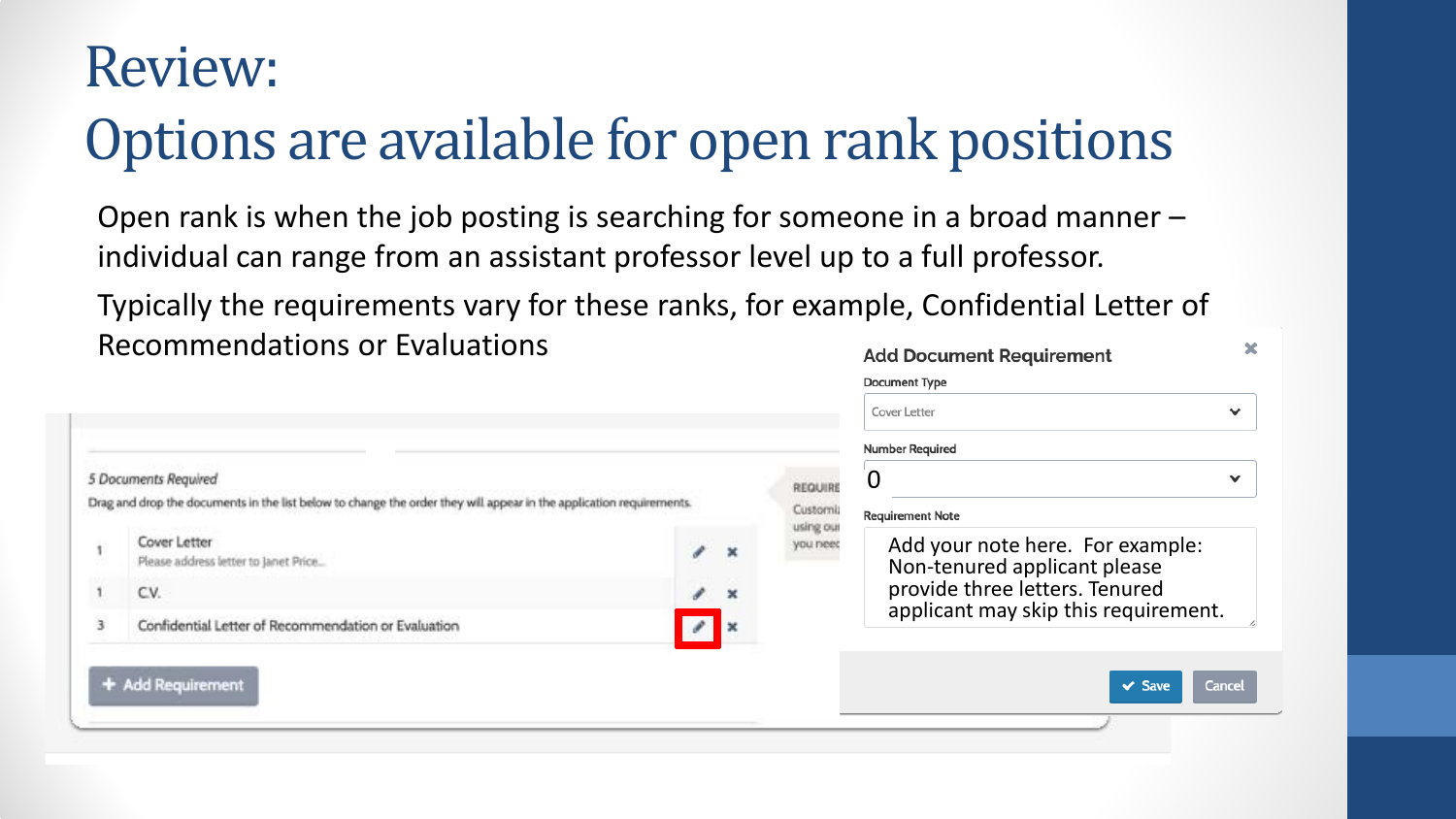## Review: Options are available for open rank positions

Open rank is when the job posting is searching for someone in a broad manner – individual can range from an assistant professor level up to a full professor.

Typically the requirements vary for these ranks, for example, Confidential Letter of Recommendations or Evaluations **Add Document Requirement** 

> **Document Type** Cover Letter

×

 $\checkmark$ 

╰

Cancel

|                                                                                                                     |             |                       | <b>Number Required</b>                                                 |
|---------------------------------------------------------------------------------------------------------------------|-------------|-----------------------|------------------------------------------------------------------------|
| 5 Documents Required                                                                                                |             | REQUIRE               | 0                                                                      |
| Drag and drop the documents in the list below to change the order they will appear in the application requirements. |             | Customi               | <b>Requirement Note</b>                                                |
| Cover Letter<br>Please address letter to Janet Price                                                                | ×           | using our<br>you need | Add your note here. For example:<br>Non-tenured applicant please       |
| CV.                                                                                                                 | $\lambda$ x |                       | provide three letters. Tenured<br>applicant may skip this requirement. |
| Confidential Letter of Recommendation or Evaluation                                                                 |             |                       |                                                                        |
| + Add Requirement                                                                                                   |             |                       | Car<br>$\vee$ Save                                                     |
|                                                                                                                     |             |                       |                                                                        |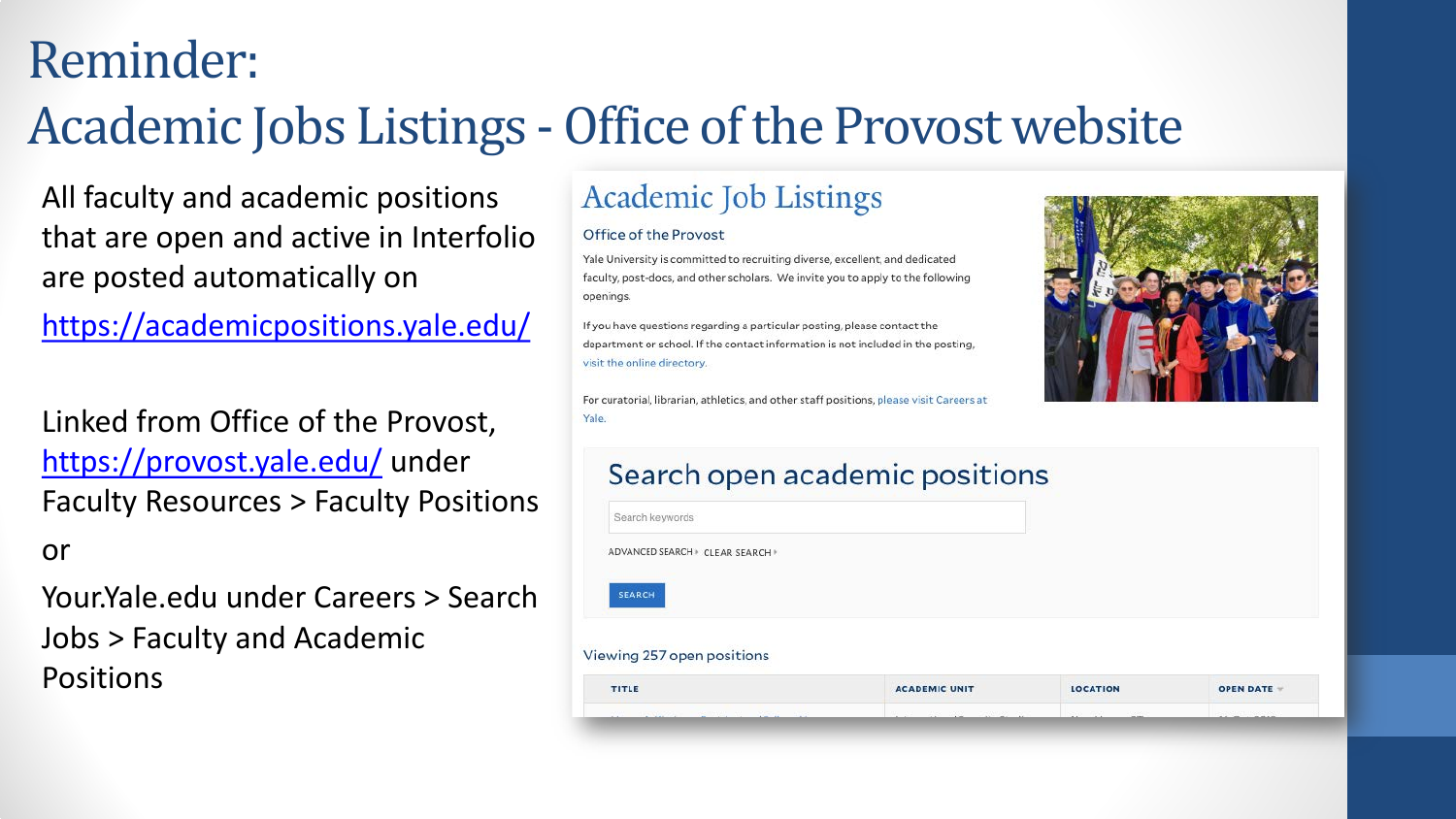## Reminder:

## Academic Jobs Listings - Office of the Provost website

All faculty and academic positions that are open and active in Interfolio are posted automatically on

<https://academicpositions.yale.edu/>

Linked from Office of the Provost, <https://provost.yale.edu/> under Faculty Resources > Faculty Positions

or

Your.Yale.edu under Careers > Search Jobs > Faculty and Academic **Positions** 

### **Academic Job Listings**

#### Office of the Provost

Yale University is committed to recruiting diverse, excellent, and dedicated faculty, post-docs, and other scholars. We invite you to apply to the following openings.

If you have questions regarding a particular posting, please contact the department or school. If the contact information is not included in the posting. visit the online directory.

For curatorial, librarian, athletics, and other staff positions, please visit Careers at Yale.



#### Search open academic positions

| Search keywords                               |  |
|-----------------------------------------------|--|
| <b>IDVANCED SEARCH &gt; CLEAR SEARCH &gt;</b> |  |
| <b>SEARCH</b>                                 |  |

#### Viewing 257 open positions

| and the state of the con-<br>TITLE<br><b><i>CONTRACTOR</i></b> | <b>ACADEMIC UNIT</b><br>the control of the state of the control of the control of the control of the control of the control of the control of the control of the control of the control of the control of the control of the control of the control of | <b>Contract Contract Contract Contract</b><br><b>LOCATION</b><br><b>COMPANY AND INTERNATIONAL</b> | <b>OPEN DATE</b><br>a service of the control of the Control of the Control                                                                                                                                                                                                                                                                                                                                                                                                               |
|----------------------------------------------------------------|--------------------------------------------------------------------------------------------------------------------------------------------------------------------------------------------------------------------------------------------------------|---------------------------------------------------------------------------------------------------|------------------------------------------------------------------------------------------------------------------------------------------------------------------------------------------------------------------------------------------------------------------------------------------------------------------------------------------------------------------------------------------------------------------------------------------------------------------------------------------|
|                                                                |                                                                                                                                                                                                                                                        | 00000004<br><b>COLUMN</b><br><b>CAN THAT</b>                                                      | $\mathcal{A} = \mathcal{A} \quad \mathcal{A} = \mathcal{A} \quad \mathcal{A} = \mathcal{A} \quad \mathcal{A} = \mathcal{A} \quad \mathcal{A} = \mathcal{A} \quad \mathcal{A} = \mathcal{A} \quad \mathcal{A} = \mathcal{A} \quad \mathcal{A} = \mathcal{A} \quad \mathcal{A} = \mathcal{A} \quad \mathcal{A} = \mathcal{A} \quad \mathcal{A} = \mathcal{A} \quad \mathcal{A} = \mathcal{A} \quad \mathcal{A} = \mathcal{A} \quad \mathcal{A} = \mathcal{A} \quad \mathcal{A} = \mathcal$ |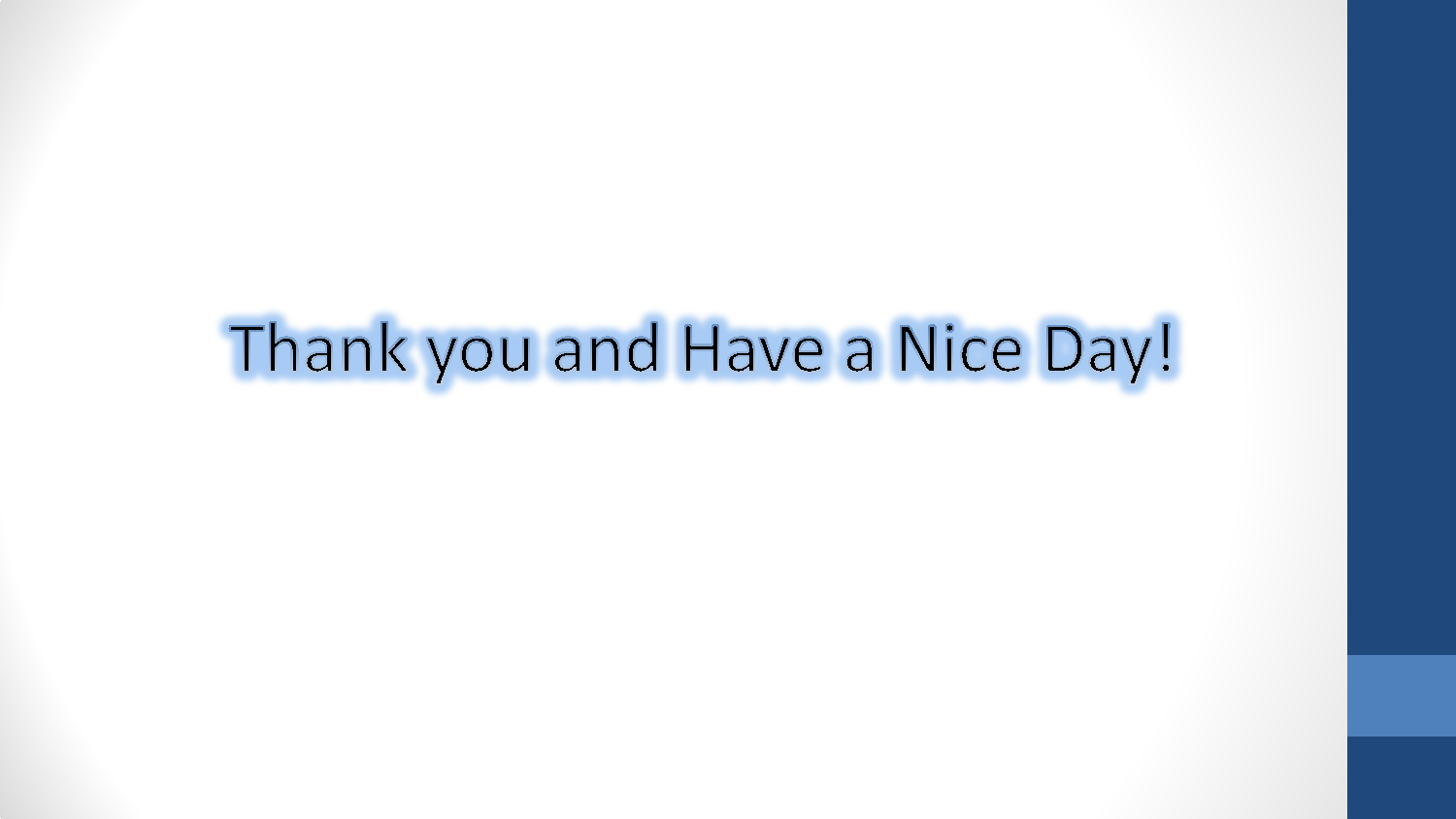## Thank you and Have a Nice Day!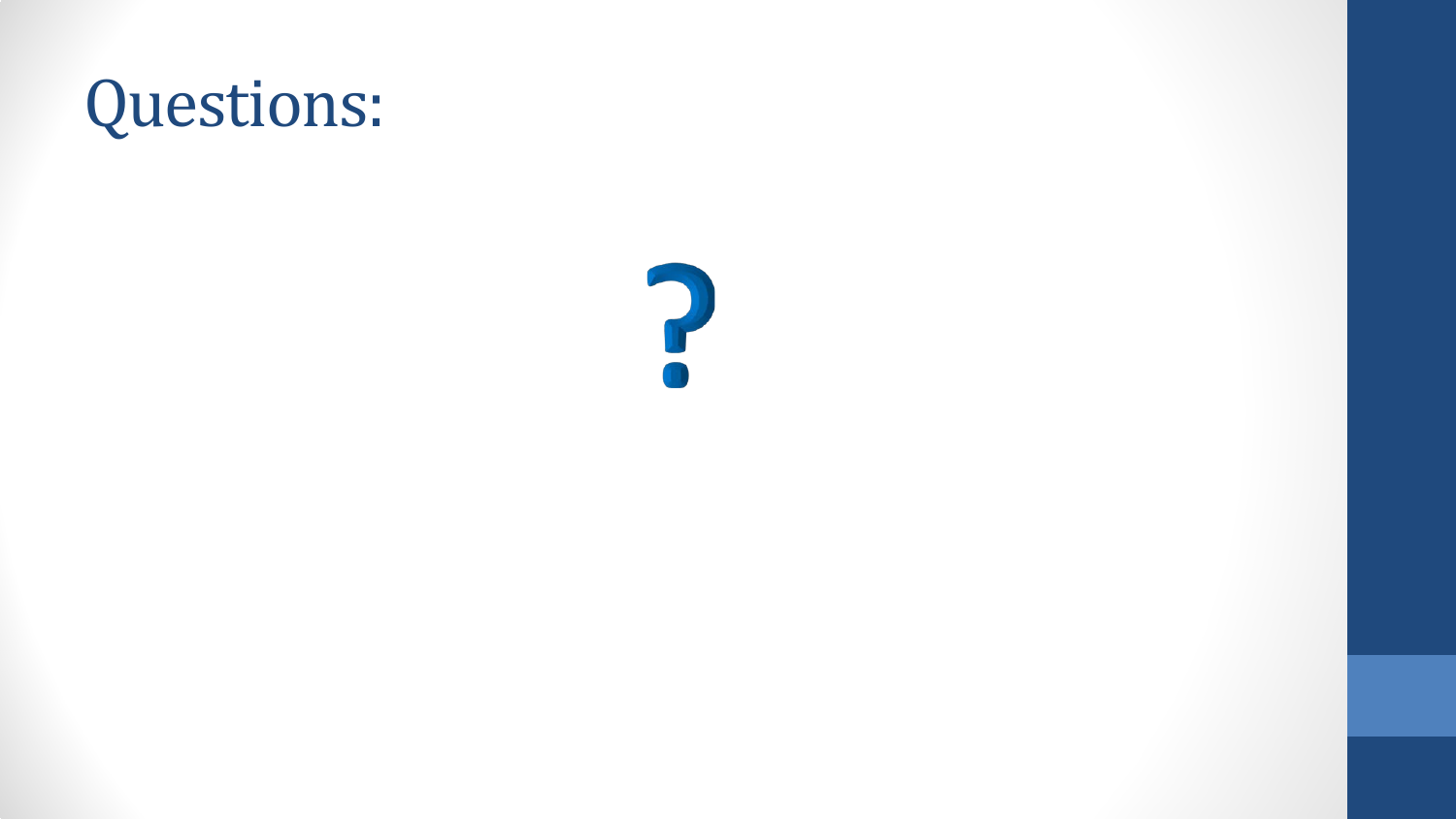## Questions: